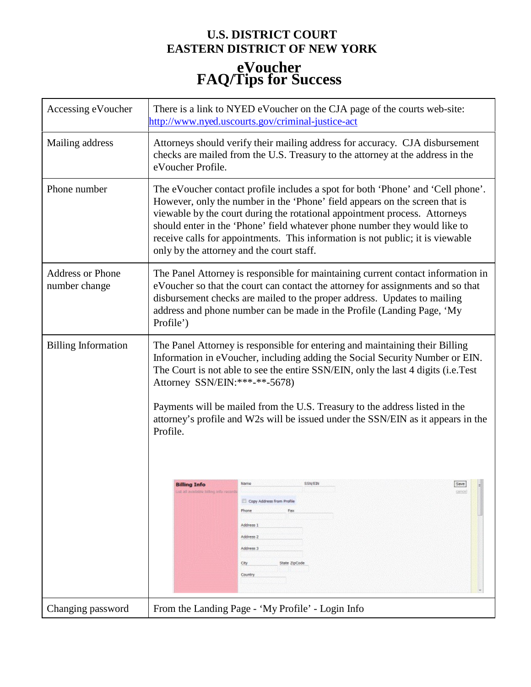## **U.S. DISTRICT COURT EASTERN DISTRICT OF NEW YORK eVoucher FAQ/Tips for Success**

| Accessing eVoucher                       | There is a link to NYED eVoucher on the CJA page of the courts web-site:<br>http://www.nyed.uscourts.gov/criminal-justice-act                                                                                                                                                                                                                                                                                                                                                                                                                                                                                                                                                            |                                                   |  |  |
|------------------------------------------|------------------------------------------------------------------------------------------------------------------------------------------------------------------------------------------------------------------------------------------------------------------------------------------------------------------------------------------------------------------------------------------------------------------------------------------------------------------------------------------------------------------------------------------------------------------------------------------------------------------------------------------------------------------------------------------|---------------------------------------------------|--|--|
| Mailing address                          | Attorneys should verify their mailing address for accuracy. CJA disbursement<br>checks are mailed from the U.S. Treasury to the attorney at the address in the<br>eVoucher Profile.                                                                                                                                                                                                                                                                                                                                                                                                                                                                                                      |                                                   |  |  |
| Phone number                             | The eVoucher contact profile includes a spot for both 'Phone' and 'Cell phone'.<br>However, only the number in the 'Phone' field appears on the screen that is<br>viewable by the court during the rotational appointment process. Attorneys<br>should enter in the 'Phone' field whatever phone number they would like to<br>receive calls for appointments. This information is not public; it is viewable<br>only by the attorney and the court staff.                                                                                                                                                                                                                                |                                                   |  |  |
| <b>Address or Phone</b><br>number change | The Panel Attorney is responsible for maintaining current contact information in<br>eVoucher so that the court can contact the attorney for assignments and so that<br>disbursement checks are mailed to the proper address. Updates to mailing<br>address and phone number can be made in the Profile (Landing Page, 'My<br>Profile')                                                                                                                                                                                                                                                                                                                                                   |                                                   |  |  |
| <b>Billing Information</b>               | The Panel Attorney is responsible for entering and maintaining their Billing<br>Information in eVoucher, including adding the Social Security Number or EIN.<br>The Court is not able to see the entire SSN/EIN, only the last 4 digits (i.e.Test<br>Attorney SSN/EIN:***-**-5678)<br>Payments will be mailed from the U.S. Treasury to the address listed in the<br>attorney's profile and W2s will be issued under the SSN/EIN as it appears in the<br>Profile.<br>Name<br>SSN/EIN<br><b>Billing Info</b><br>List all available billing info records<br>cancel<br>Copy Address from Profile<br>Phone<br>Fax<br>Address 1<br>Address 2<br>Address 3<br>City<br>State ZipCode<br>Country |                                                   |  |  |
| Changing password                        |                                                                                                                                                                                                                                                                                                                                                                                                                                                                                                                                                                                                                                                                                          | From the Landing Page - 'My Profile' - Login Info |  |  |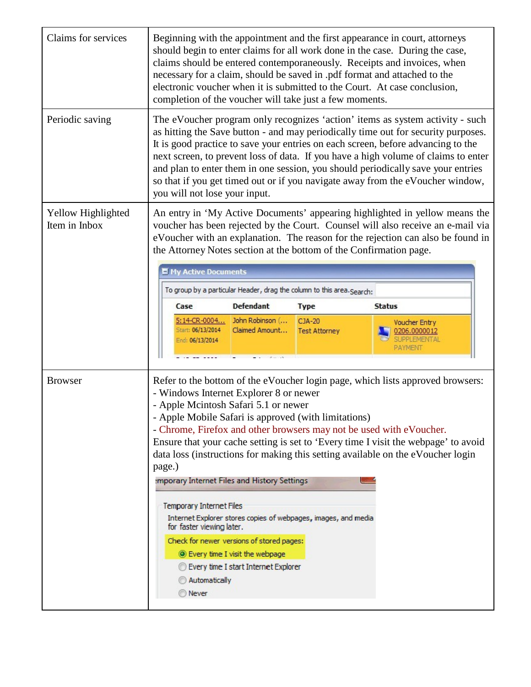| Claims for services                 | Beginning with the appointment and the first appearance in court, attorneys<br>should begin to enter claims for all work done in the case. During the case,<br>claims should be entered contemporaneously. Receipts and invoices, when<br>necessary for a claim, should be saved in .pdf format and attached to the<br>electronic voucher when it is submitted to the Court. At case conclusion,<br>completion of the voucher will take just a few moments.                                                                                         |                                                |                                |                                                                  |  |  |
|-------------------------------------|-----------------------------------------------------------------------------------------------------------------------------------------------------------------------------------------------------------------------------------------------------------------------------------------------------------------------------------------------------------------------------------------------------------------------------------------------------------------------------------------------------------------------------------------------------|------------------------------------------------|--------------------------------|------------------------------------------------------------------|--|--|
| Periodic saving                     | The eVoucher program only recognizes 'action' items as system activity - such<br>as hitting the Save button - and may periodically time out for security purposes.<br>It is good practice to save your entries on each screen, before advancing to the<br>next screen, to prevent loss of data. If you have a high volume of claims to enter<br>and plan to enter them in one session, you should periodically save your entries<br>so that if you get timed out or if you navigate away from the eVoucher window,<br>you will not lose your input. |                                                |                                |                                                                  |  |  |
| Yellow Highlighted<br>Item in Inbox | An entry in 'My Active Documents' appearing highlighted in yellow means the<br>voucher has been rejected by the Court. Counsel will also receive an e-mail via<br>eVoucher with an explanation. The reason for the rejection can also be found in<br>the Attorney Notes section at the bottom of the Confirmation page.<br><b>My Active Documents</b><br>To group by a particular Header, drag the column to this area. Search:                                                                                                                     |                                                |                                |                                                                  |  |  |
|                                     | Case                                                                                                                                                                                                                                                                                                                                                                                                                                                                                                                                                | <b>Defendant</b>                               | <b>Type</b>                    | <b>Status</b>                                                    |  |  |
|                                     | Start: 06/13/2014<br>End: 06/13/2014                                                                                                                                                                                                                                                                                                                                                                                                                                                                                                                | 5:14-CR-0004 John Robinson (<br>Claimed Amount | CJA-20<br><b>Test Attorney</b> | Voucher Entry<br>0206.0000012<br><b>SLIPPLEMENTAL</b><br>PAYMENT |  |  |
| <b>Browser</b>                      | Refer to the bottom of the eVoucher login page, which lists approved browsers:<br>- Windows Internet Explorer 8 or newer<br>- Apple Mcintosh Safari 5.1 or newer<br>- Apple Mobile Safari is approved (with limitations)<br>- Chrome, Firefox and other browsers may not be used with eVoucher.<br>Ensure that your cache setting is set to 'Every time I visit the webpage' to avoid<br>data loss (instructions for making this setting available on the eVoucher login<br>page.)<br><b>Imporary Internet Files and History Settings</b>           |                                                |                                |                                                                  |  |  |
|                                     | <b>Temporary Internet Files</b><br>Internet Explorer stores copies of webpages, images, and media<br>for faster viewing later.<br>Check for newer versions of stored pages:<br><b>Every time I visit the webpage</b><br>Every time I start Internet Explorer                                                                                                                                                                                                                                                                                        |                                                |                                |                                                                  |  |  |
|                                     | Automatically<br><b>Never</b>                                                                                                                                                                                                                                                                                                                                                                                                                                                                                                                       |                                                |                                |                                                                  |  |  |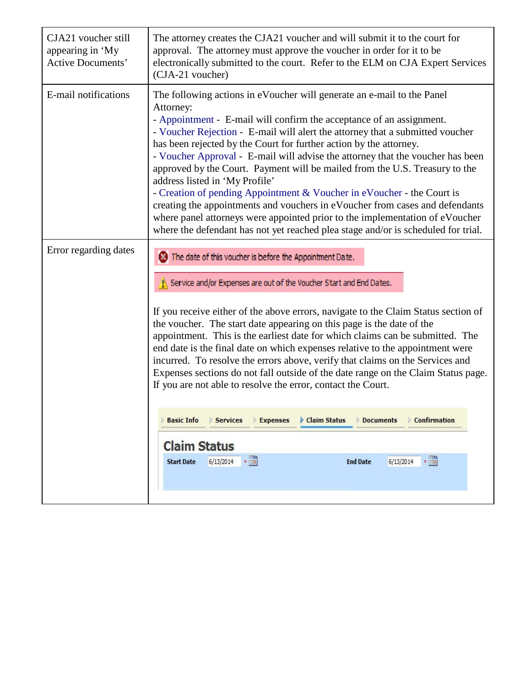| CJA21 voucher still<br>appearing in 'My<br><b>Active Documents'</b> | The attorney creates the CJA21 voucher and will submit it to the court for<br>approval. The attorney must approve the voucher in order for it to be<br>electronically submitted to the court. Refer to the ELM on CJA Expert Services<br>(CJA-21 voucher)                                                                                                                                                                                                                                                                                                                                                                                                                                                                                                                                                                                                                                                                            |  |  |  |
|---------------------------------------------------------------------|--------------------------------------------------------------------------------------------------------------------------------------------------------------------------------------------------------------------------------------------------------------------------------------------------------------------------------------------------------------------------------------------------------------------------------------------------------------------------------------------------------------------------------------------------------------------------------------------------------------------------------------------------------------------------------------------------------------------------------------------------------------------------------------------------------------------------------------------------------------------------------------------------------------------------------------|--|--|--|
| E-mail notifications                                                | The following actions in eVoucher will generate an e-mail to the Panel<br>Attorney:<br>- Appointment - E-mail will confirm the acceptance of an assignment.<br>- Voucher Rejection - E-mail will alert the attorney that a submitted voucher<br>has been rejected by the Court for further action by the attorney.<br>- Voucher Approval - E-mail will advise the attorney that the voucher has been<br>approved by the Court. Payment will be mailed from the U.S. Treasury to the<br>address listed in 'My Profile'<br>- Creation of pending Appointment & Voucher in eVoucher - the Court is<br>creating the appointments and vouchers in eVoucher from cases and defendants<br>where panel attorneys were appointed prior to the implementation of eVoucher<br>where the defendant has not yet reached plea stage and/or is scheduled for trial.                                                                                 |  |  |  |
| Error regarding dates                                               | The date of this voucher is before the Appointment Date.<br>Service and/or Expenses are out of the Voucher Start and End Dates.<br>If you receive either of the above errors, navigate to the Claim Status section of<br>the voucher. The start date appearing on this page is the date of the<br>appointment. This is the earliest date for which claims can be submitted. The<br>end date is the final date on which expenses relative to the appointment were<br>incurred. To resolve the errors above, verify that claims on the Services and<br>Expenses sections do not fall outside of the date range on the Claim Status page.<br>If you are not able to resolve the error, contact the Court.<br><b>Basic Info</b><br><b>Expenses</b><br>Claim Status<br>Confirmation<br>Services<br><b>Documents</b><br><b>Claim Status</b><br>$\cdot$ $\frac{1}{2}$<br>$6/13/2014$ *<br>6/13/2014<br><b>End Date</b><br><b>Start Date</b> |  |  |  |